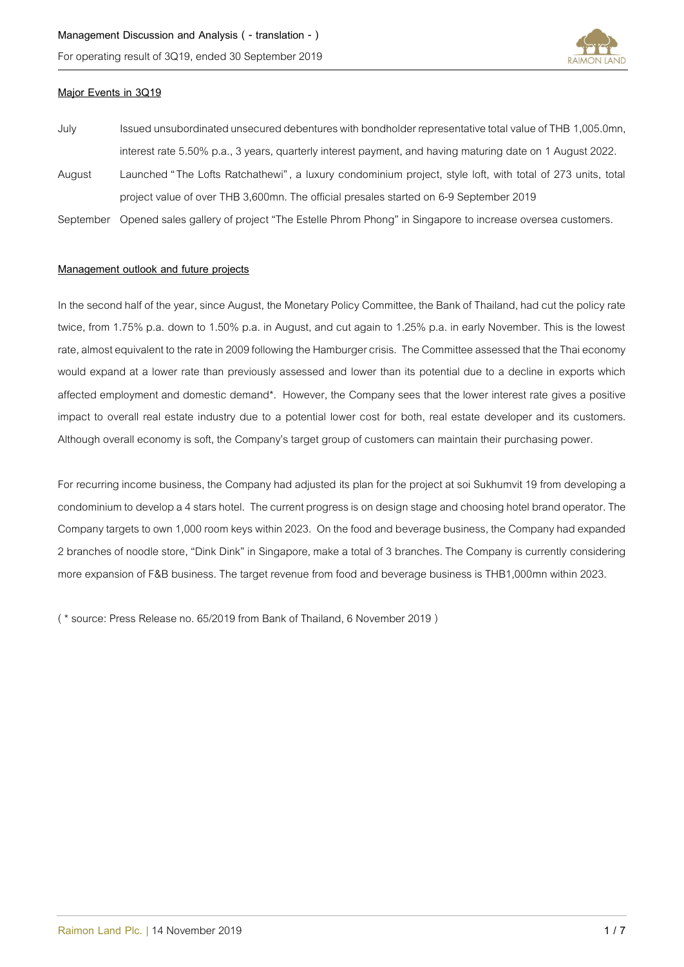For operating result of 3Q19, ended 30 September 2019



# **Major Events in 3Q19**

July Issued unsubordinated unsecured debentures with bondholder representative total value of THB 1,005.0mn, interest rate 5.50% p.a., 3 years, quarterly interest payment, and having maturing date on 1 August 2022. August Launched "The Lofts Ratchathewi", a luxury condominium project, style loft, with total of 273 units, total project value of over THB 3,600mn. The official presales started on 6-9 September 2019 September Opened sales gallery of project "The Estelle Phrom Phong" in Singapore to increase oversea customers.

## **Management outlook and future projects**

In the second half of the year, since August, the Monetary Policy Committee, the Bank of Thailand, had cut the policy rate twice, from 1.75% p.a. down to 1.50% p.a. in August, and cut again to 1.25% p.a. in early November. This is the lowest rate, almost equivalent to the rate in 2009 following the Hamburger crisis. The Committee assessed that the Thai economy would expand at a lower rate than previously assessed and lower than its potential due to a decline in exports which affected employment and domestic demand\*. However, the Company sees that the lower interest rate gives a positive impact to overall real estate industry due to a potential lower cost for both, real estate developer and its customers. Although overall economy is soft, the Company's target group of customerscan maintain their purchasing power.

For recurring income business, the Company had adjusted its plan for the project at soi Sukhumvit 19 from developing a condominium to develop a 4 stars hotel. The current progress is on design stageand choosing hotel brand operator. The Company targets to own 1,000 room keys within 2023. On the food and beverage business, the Company had expanded 2 branches of noodle store, "Dink Dink" in Singapore, make a total of 3 branches. The Company is currently considering more expansion of F&B business. The target revenue from food and beverage business is THB1,000mn within 2023.

( \* source: Press Release no. 65/2019 from Bank of Thailand, 6 November 2019 )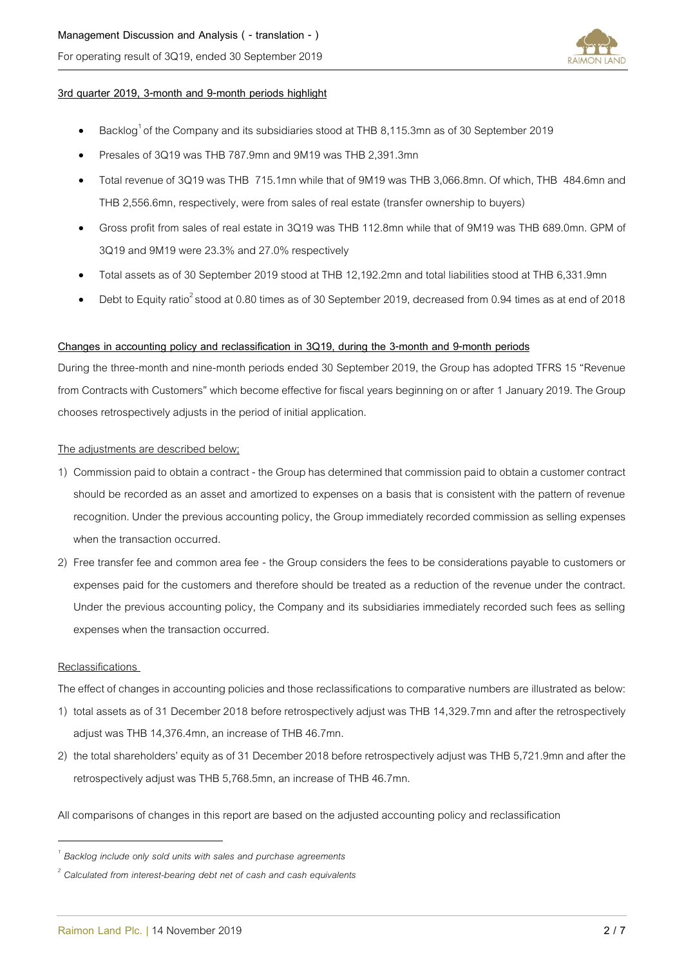For operating result of 3Q19, ended 30 September 2019



## **3rd quarter 2019, 3-month and 9-month periods highlight**

- $\bullet$  Backlog<sup>1</sup> of the Company and its subsidiaries stood at THB 8,115.3mn as of 30 September 2019
- Presales of 3Q19 was THB 787.9mn and 9M19 was THB 2,391.3mn
- Total revenue of 3Q19 was THB 715.1mn while that of 9M19 was THB 3,066.8mn. Of which, THB 484.6mn and THB 2,556.6mn, respectively, were from sales of real estate (transfer ownership to buyers)
- Gross profit from sales of real estate in 3Q19 was THB 112.8mn while that of 9M19 was THB 689.0mn. GPM of 3Q19 and 9M19 were 23.3% and 27.0% respectively
- Total assets as of 30 September 2019 stood at THB 12,192.2mn and total liabilities stood at THB 6,331.9mn
- Debt to Equity ratio<sup>2</sup> stood at 0.80 times as of 30 September 2019, decreased from 0.94 times as at end of 2018

#### **Changes in accounting policy and reclassification in 3Q19, during the 3-month and 9-month periods**

During the three-month and nine-month periods ended 30 September 2019, the Group has adopted TFRS 15 "Revenue from Contracts with Customers" which become effective for fiscal years beginning on or after 1 January 2019. The Group chooses retrospectively adjusts in the period of initial application.

#### The adjustments are described below;

- 1) Commission paid to obtain a contract the Group has determined that commission paid to obtain a customer contract should be recorded as an asset and amortized to expenses on a basis that is consistent with the pattern of revenue recognition. Under the previous accounting policy, the Group immediately recorded commission as selling expenses when the transaction occurred.
- 2) Free transfer fee and common area fee the Group considers the fees to be considerations payable to customers or expenses paid for the customers and therefore should be treated as a reduction of the revenue under the contract. Under the previous accounting policy, the Company and its subsidiaries immediately recorded such fees as selling expenses when the transaction occurred.

#### Reclassifications

 $\overline{a}$ 

The effect of changes in accounting policies and those reclassifications to comparative numbers are illustrated as below:

- 1) total assets as of 31 December 2018 before retrospectively adjust was THB 14,329.7mnand after the retrospectively adjust was THB 14,376.4mn, an increase of THB 46.7mn.
- 2) the total shareholders' equity as of 31 December 2018 before retrospectively adjust was THB 5,721.9mnand after the retrospectively adjust was THB 5,768.5mn, an increase of THB 46.7mn.

All comparisons of changes in this report are based on the adjusted accounting policy and reclassification

*<sup>1</sup> Backlog include only sold units with sales and purchase agreements* 

*<sup>2</sup> Calculated from interest-bearing debt net of cash and cash equivalents*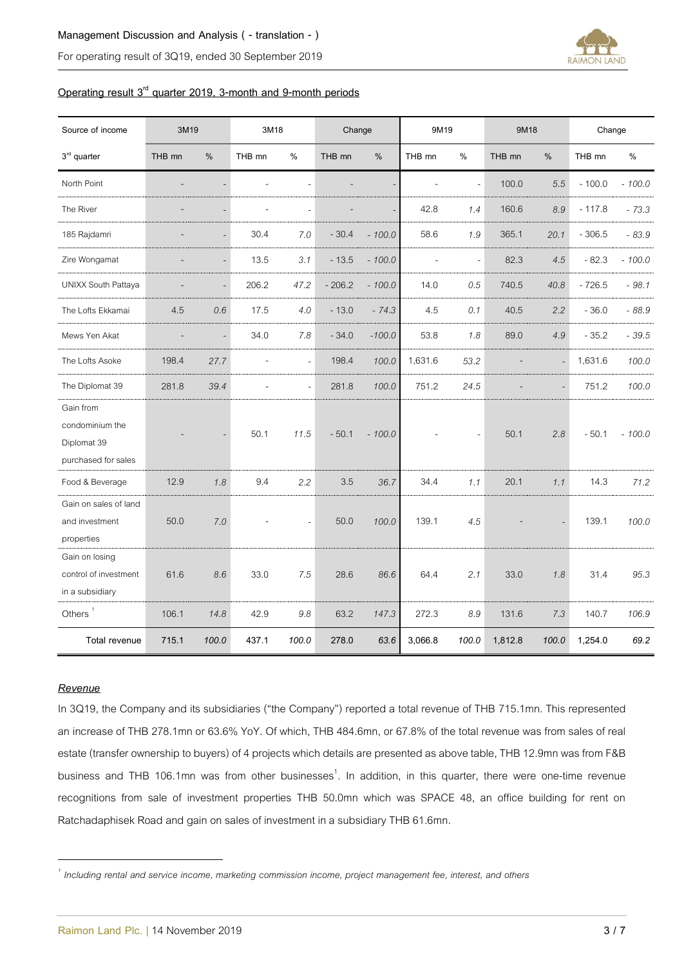## **Management Discussion and Analysis ( - translation - )**

For operating result of 3Q19, ended 30 September 2019



# **Operating result 3 rd quarter 2019, 3-month and 9-month periods**

| Source of income                                                   | 3M19   |                | 3M18           |                | Change   |          | 9M19    |                     | 9M18    |                | Change   |          |
|--------------------------------------------------------------------|--------|----------------|----------------|----------------|----------|----------|---------|---------------------|---------|----------------|----------|----------|
| $3rd$ quarter                                                      | THB mn | %              | THB mn         | $\%$           | THB mn   | $\%$     | THB mn  | %                   | THB mn  | $\%$           | THB mn   | $\%$     |
| North Point                                                        |        |                | $\overline{a}$ |                |          |          | L,      | $\bar{\phantom{a}}$ | 100.0   | 5.5            | $-100.0$ | $-100.0$ |
| The River                                                          |        |                |                | $\overline{a}$ |          |          | 42.8    | 1.4                 | 160.6   | 8.9            | $-117.8$ | $-73.3$  |
| 185 Rajdamri                                                       |        |                | 30.4           | 7.0            | $-30.4$  | $-100.0$ | 58.6    | 1.9                 | 365.1   | 20.1           | $-306.5$ | $-83.9$  |
| Zire Wongamat                                                      |        | $\overline{a}$ | 13.5           | 3.1            | $-13.5$  | $-100.0$ | L,      | $\overline{a}$      | 82.3    | 4.5            | $-82.3$  | $-100.0$ |
| <b>UNIXX South Pattaya</b>                                         |        |                | 206.2          | 47.2           | $-206.2$ | $-100.0$ | 14.0    | 0.5                 | 740.5   | 40.8           | $-726.5$ | $-98.1$  |
| The Lofts Ekkamai                                                  | 4.5    | 0.6            | 17.5           | 4.0            | $-13.0$  | $-74.3$  | 4.5     | 0.1                 | 40.5    | 2.2            | $-36.0$  | $-88.9$  |
| Mews Yen Akat                                                      |        |                | 34.0           | 7.8            | $-34.0$  | $-100.0$ | 53.8    | 1.8                 | 89.0    | 4.9            | $-35.2$  | $-39.5$  |
| The Lofts Asoke                                                    | 198.4  | 27.7           | $\overline{a}$ | ÷.             | 198.4    | 100.0    | 1,631.6 | 53.2                |         | $\overline{a}$ | 1,631.6  | 100.0    |
| The Diplomat 39                                                    | 281.8  | 39.4           |                | $\overline{a}$ | 281.8    | 100.0    | 751.2   | 24.5                |         |                | 751.2    | 100.0    |
| Gain from<br>condominium the<br>Diplomat 39<br>purchased for sales |        |                | 50.1           | 11.5           | $-50.1$  | $-100.0$ |         | $\bar{\phantom{a}}$ | 50.1    | 2.8            | $-50.1$  | $-100.0$ |
| Food & Beverage                                                    | 12.9   | 1.8            | 9.4            | 2.2            | 3.5      | 36.7     | 34.4    | 1.1                 | 20.1    | 1.1            | 14.3     | 71.2     |
| Gain on sales of land<br>and investment<br>properties              | 50.0   | 7.0            |                | $\overline{a}$ | 50.0     | 100.0    | 139.1   | 4.5                 |         |                | 139.1    | 100.0    |
| Gain on losing<br>control of investment<br>in a subsidiary         | 61.6   | 8.6            | 33.0           | 7.5            | 28.6     | 86.6     | 64.4    | 2.1                 | 33.0    | 1.8            | 31.4     | 95.3     |
| Others <sup>1</sup>                                                | 106.1  | 14.8           | 42.9           | $9.8\,$        | 63.2     | 147.3    | 272.3   | 8.9                 | 131.6   | 7.3            | 140.7    | 106.9    |
| Total revenue                                                      | 715.1  | 100.0          | 437.1          | 100.0          | 278.0    | 63.6     | 3,066.8 | 100.0               | 1,812.8 | 100.0          | 1,254.0  | 69.2     |

## *Revenue*

 $\overline{\phantom{a}}$ 

In 3Q19, the Company and its subsidiaries ("the Company") reported a total revenue of THB 715.1mn. This represented an increase of THB 278.1mn or 63.6% YoY. Of which, THB 484.6mn, or 67.8% of the total revenue was from sales of real estate (transfer ownership to buyers) of 4 projects which details are presented as above table, THB 12.9mn was from F&B business and THB 106.1mn was from other businesses<sup>1</sup>. In addition, in this quarter, there were one-time revenue recognitions from sale of investment properties THB 50.0mn which was SPACE 48, an office building for rent on Ratchadaphisek Road and gain on sales of investment in a subsidiary THB 61.6mn.

*<sup>1</sup> Including rental and service income, marketing commission income, project management fee, interest, and others*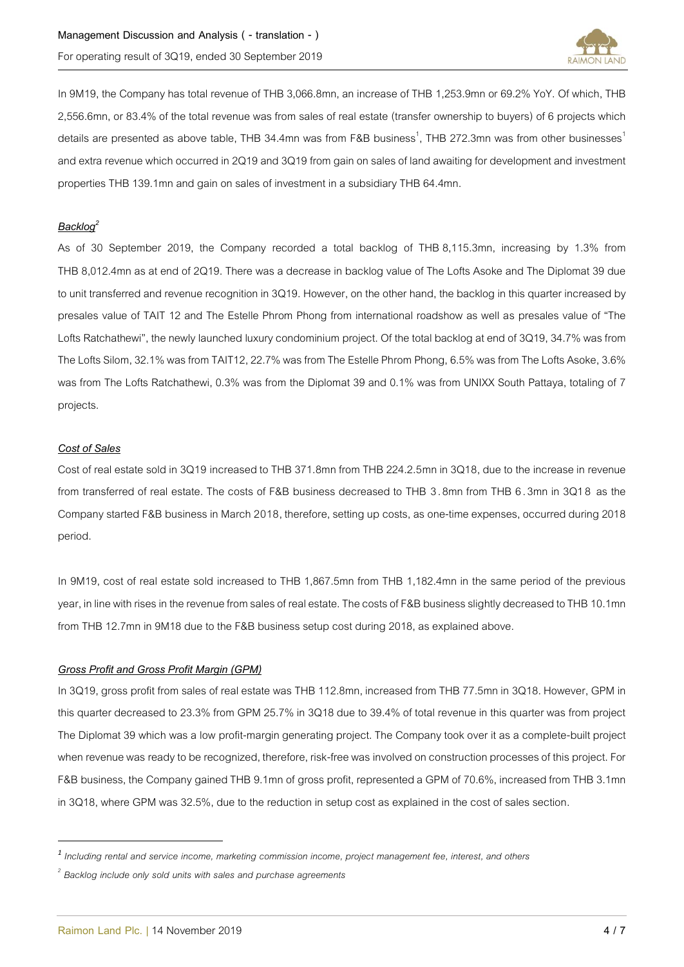

In 9M19, the Company has total revenue of THB 3,066.8mn, an increase of THB 1,253.9mn or 69.2% YoY. Of which, THB 2,556.6mn, or 83.4% of the total revenue was from sales of real estate (transfer ownership to buyers) of 6 projects which details are presented as above table, THB 34.4mn was from F&B business<sup>1</sup>, THB 272.3mn was from other businesses<sup>1</sup> and extra revenue which occurred in 2Q19 and 3Q19 from gain on sales of land awaiting for development and investment properties THB 139.1mn and gain on sales of investment in a subsidiary THB 64.4mn.

# *Backlog<sup>2</sup>*

As of 30 September 2019, the Company recorded a total backlog of THB 8,115.3mn, increasing by 1.3% from THB 8,012.4mn as at end of 2Q19. There was a decrease in backlog value of The Lofts Asoke and The Diplomat 39 due to unit transferred and revenue recognition in 3Q19. However, on the other hand, the backlog in this quarter increased by presales value of TAIT 12 and The Estelle Phrom Phong from international roadshow as well as presales value of "The Lofts Ratchathewi", the newly launched luxury condominium project. Of the total backlog at end of 3Q19, 34.7% was from The Lofts Silom, 32.1% was from TAIT12, 22.7% was from The Estelle Phrom Phong, 6.5% was from The Lofts Asoke, 3.6% was from The Lofts Ratchathewi, 0.3% was from the Diplomat 39 and 0.1% was from UNIXX South Pattaya, totaling of 7 projects.

# *Cost of Sales*

 $\overline{a}$ 

Cost of real estate sold in 3Q19 increased to THB 371.8mn from THB 224.2.5mn in 3Q18, due to the increasein revenue from transferred of real estate. The costs of F&B business decreased to THB 3 .8mn from THB 6 .3mn in 3Q18 as the Company started F&B business in March 2018, therefore, setting up costs, as one-time expenses, occurred during 2018 period.

In 9M19, cost of real estate sold increased to THB 1,867.5mn from THB 1,182.4mn in the same period of the previous year, in line with rises in the revenue from sales of real estate. The costs of F&B business slightly decreased to THB 10.1mn from THB 12.7mn in 9M18 due to the F&B business setup cost during 2018, as explained above.

# *Gross Profit and Gross Profit Margin (GPM)*

In 3Q19, gross profit from sales of real estate was THB 112.8mn, increased from THB 77.5mn in 3Q18. However, GPM in this quarter decreased to 23.3% from GPM 25.7% in 3Q18 due to 39.4% of total revenue in this quarter was from project The Diplomat 39 which was a low profit-margin generating project. The Company took over it as a complete-built project when revenue was ready to be recognized, therefore, risk-free was involved on construction processes of this project. For F&B business, the Company gained THB 9.1mn of gross profit, represented a GPM of 70.6%, increased from THB 3.1mn in 3Q18, where GPM was 32.5%, due to the reduction in setup cost as explained in the cost of sales section.

*<sup>1</sup> Including rental and service income, marketing commission income, project management fee, interest, and others*

*<sup>2</sup> Backlog include only sold units with sales and purchase agreements*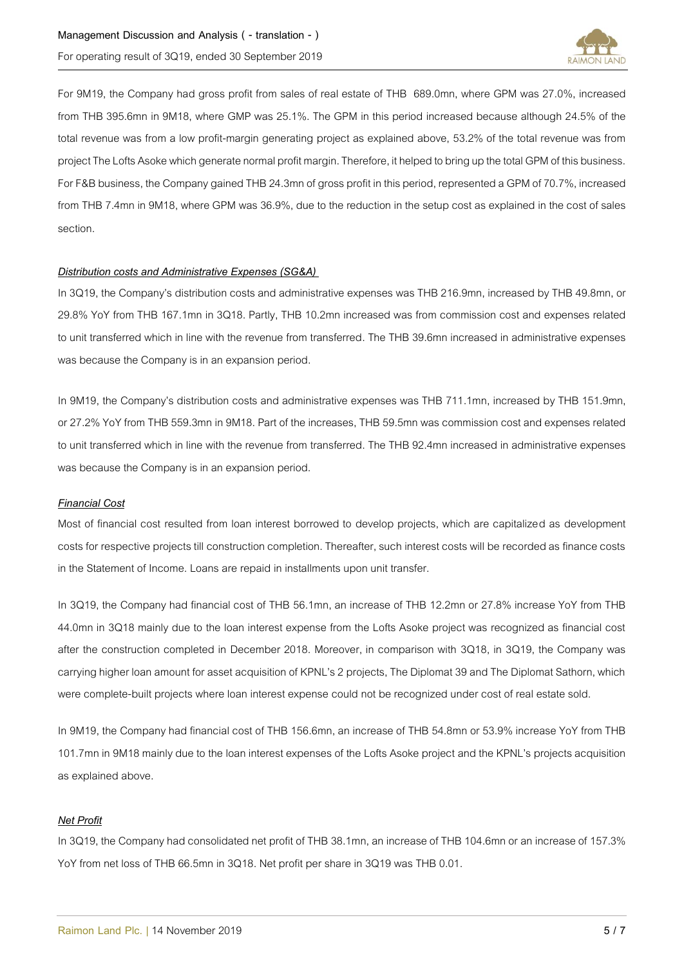

For 9M19, the Company had gross profit from sales of real estate of THB 689.0mn, where GPM was 27.0%, increased from THB 395.6mn in 9M18, where GMP was 25.1%. The GPM in this period increased because although 24.5% of the total revenue was from a low profit-margin generating project as explained above, 53.2% of the total revenue was from project The Lofts Asoke which generate normal profit margin. Therefore, it helped to bring up the total GPM of this business. ForF&B business, the Company gained THB 24.3mn of gross profit in this period, represented a GPM of 70.7%, increased from THB 7.4mn in 9M18, where GPM was 36.9%, due to the reduction in the setup cost as explained in the cost of sales section.

## *Distribution costs and Administrative Expenses (SG&A)*

In 3Q19, the Company's distribution costs and administrative expenses was THB 216.9mn, increased by THB 49.8mn, or 29.8% YoY from THB 167.1mn in 3Q18. Partly, THB 10.2mn increased was from commission cost and expenses related to unit transferred which in line with the revenue from transferred. The THB 39.6mn increased in administrative expenses was because the Company is in an expansion period.

In 9M19, the Company's distribution costs and administrative expenses was THB 711.1mn, increased by THB 151.9mn, or 27.2% YoY from THB 559.3mn in 9M18. Part of the increases, THB 59.5mn was commission cost and expenses related to unit transferred which in line with the revenue from transferred. The THB 92.4mn increased in administrative expenses was because the Company is in an expansion period.

# *Financial Cost*

Most of financial cost resulted from loan interest borrowed to develop projects, which are capitalized as development costs for respective projects till construction completion. Thereafter, such interest costs will be recorded as finance costs in the Statement of Income. Loans are repaid in installments upon unit transfer.

In 3Q19, the Company had financial cost of THB 56.1mn, an increase of THB 12.2mn or 27.8% increase YoY from THB 44.0mn in 3Q18 mainly due to the loan interest expense from the Lofts Asoke project was recognized as financial cost after the construction completed in December 2018. Moreover, in comparison with 3Q18, in 3Q19, the Company was carrying higher loan amount for asset acquisition of KPNL's 2 projects, The Diplomat 39 and The Diplomat Sathorn, which were complete-built projects where loan interest expense could not be recognized under cost of real estate sold.

In 9M19, the Company had financial cost of THB 156.6mn, an increase of THB 54.8mn or 53.9% increase YoY from THB 101.7mn in 9M18 mainly due to the loan interest expenses of the Lofts Asoke project and the KPNL's projects acquisition as explained above.

## *Net Profit*

In 3Q19, the Company had consolidated net profit of THB 38.1mn, an increase of THB 104.6mn or an increase of 157.3% YoY from net loss of THB 66.5mn in 3Q18. Net profit per share in 3Q19 was THB 0.01.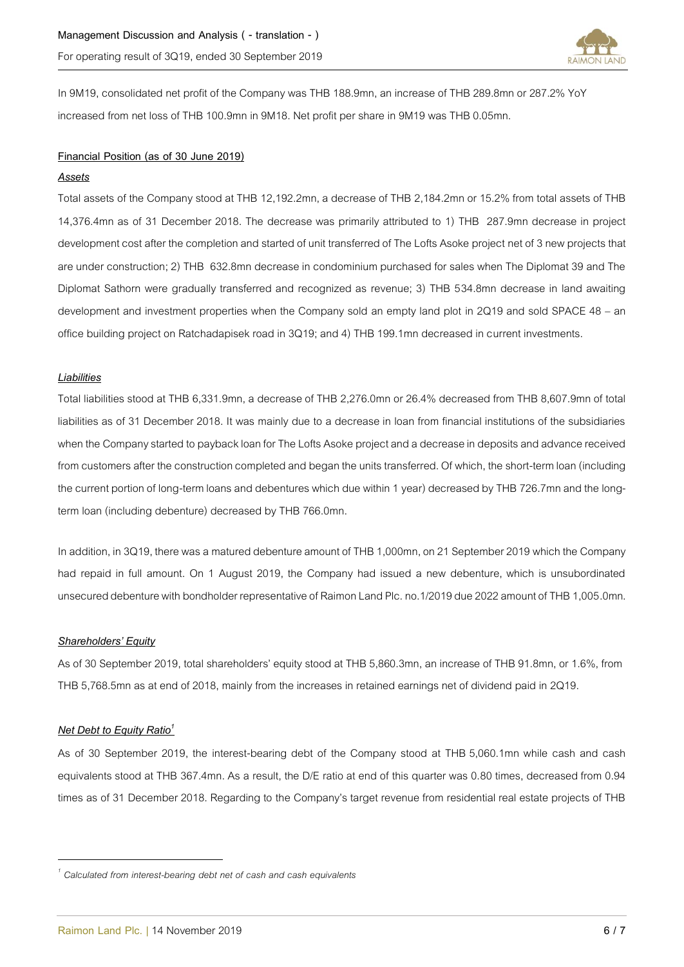

In 9M19, consolidated net profit of the Company was THB 188.9mn, an increase of THB 289.8mn or 287.2% YoY increased from net loss of THB 100.9mn in 9M18. Net profit per share in 9M19 was THB 0.05mn.

## **Financial Position (as of 30 June 2019)**

#### *Assets*

Total assets of the Company stood at THB 12,192.2mn, a decrease of THB 2,184.2mn or 15.2% from total assets of THB 14,376.4mn as of 31 December 2018. The decrease was primarily attributed to 1) THB 287.9mn decrease in project development cost after the completion and started of unit transferred of The Lofts Asoke project net of 3 new projects that are under construction; 2) THB 632.8mn decrease in condominium purchased for sales when The Diplomat 39 and The Diplomat Sathorn were gradually transferred and recognized as revenue; 3) THB 534.8mn decrease in land awaiting development and investment properties when the Company sold an empty land plot in 2Q19 and sold SPACE 48 – an office building project on Ratchadapisek road in 3Q19; and 4) THB 199.1mn decreased in current investments.

# *Liabilities*

Total liabilities stood at THB 6,331.9mn, a decrease of THB 2,276.0mn or 26.4% decreased from THB 8,607.9mn of total liabilities as of 31 December 2018. It was mainly due to a decrease in loan from financial institutions of the subsidiaries when the Company started to payback loan for The Lofts Asoke project and a decrease in deposits and advance received from customers after the construction completed and began the units transferred. Of which, the short-term loan (including the current portion of long-term loans and debentures which due within 1 year) decreased by THB 726.7mn and the longterm loan (including debenture) decreased by THB 766.0mn.

In addition, in 3Q19, there was a matured debenture amount of THB 1,000mn, on 21 September 2019 which the Company had repaid in full amount. On 1 August 2019, the Company had issued a new debenture, which is unsubordinated unsecured debenture with bondholder representative of Raimon Land Plc. no.1/2019 due 2022 amount of THB 1,005.0mn.

#### *Shareholders' Equity*

As of 30 September 2019, total shareholders' equity stood at THB 5,860.3mn, an increase of THB 91.8mn, or 1.6%, from THB 5,768.5mn as at end of 2018, mainly from the increases in retained earnings net of dividend paid in 2Q19.

#### *Net Debt to Equity Ratio<sup>1</sup>*

 $\overline{\phantom{a}}$ 

As of 30 September 2019, the interest-bearing debt of the Company stood at THB 5,060.1mn while cash and cash equivalents stood at THB 367.4mn. As a result, the D/E ratio at end of this quarter was 0.80 times, decreased from 0.94 times as of 31 December 2018. Regarding to the Company's target revenue from residential real estate projects of THB

*<sup>1</sup> Calculated from interest-bearing debt net of cash and cash equivalents*